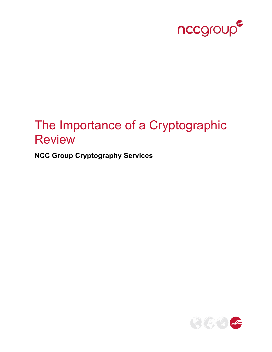

# The Importance of a Cryptographic Review

**NCC Group Cryptography Services**

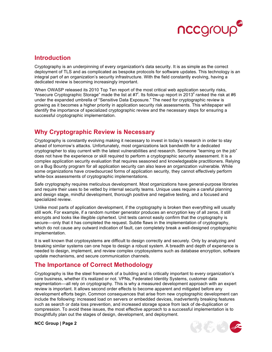

#### **Introduction**

Cryptography is an underpinning of every organization's data security. It is as simple as the correct deployment of TLS and as complicated as bespoke protocols for software updates. This technology is an integral part of an organization's security infrastructure. With the field constantly evolving, having a dedicated review is becoming increasingly important.

When OWASP released its 2010 Top Ten report of the most critical web application security risks, "Insecure Cryptographic Storage" made the list at  $\#7^{\dagger}$ . Its follow-up report in 2013<sup>"</sup> ranked the risk at #6 under the expanded umbrella of "Sensitive Data Exposure." The need for cryptographic review is growing as it becomes a higher priority in application security risk assessments. This whitepaper will identify the importance of specialized cryptographic review and the necessary steps for ensuring a successful cryptographic implementation.

## **Why Cryptographic Review is Necessary**

Cryptography is constantly evolving making it necessary to invest in today's research in order to stay ahead of tomorrow's attacks. Unfortunately, most organizations lack bandwidth for a dedicated cryptographer to stay current with the latest vulnerabilities and research. Someone "learning on the job" does not have the experience or skill required to perform a cryptographic security assessment. It is a complex application security evaluation that requires seasoned and knowledgeable practitioners. Relying on a Bug Bounty program for all application security can also leave an organization vulnerable. While some organizations have crowdsourced forms of application security, they cannot effectively perform white-box assessments of cryptographic implementations.

Safe cryptography requires meticulous development. Most organizations have general-purpose libraries and require their uses to be vetted by internal security teams. Unique uses require a careful planning and design stage, mindful development, thorough positive and negative testing, and a focused and specialized review.

Unlike most parts of application development, if the cryptography is broken then everything will usually still work. For example, if a random number generator produces an encryption key of all zeros, it still encrypts and looks like illegible ciphertext. Unit tests cannot easily confirm that the cryptography is secure—only that it has completed the request. Subtle flaws in the implementation of cryptography, which do not cause any outward indication of fault, can completely break a well-designed cryptographic implementation.

It is well known that cryptosystems are difficult to design correctly and securely. Only by analyzing and breaking similar systems can one hope to design a robust system. A breadth and depth of experience is needed to design, implement, and review complex cryptosystems such as database encryption, software update mechanisms, and secure communication channels.

#### **The Importance of Correct Methodology**

Cryptography is like the steel framework of a building and is critically important to every organization's core business, whether it's realized or not. VPNs, Federated Identity Systems, customer data segmentation––all rely on cryptography. This is why a measured development approach with an expert review is important. It allows second order effects to become apparent and mitigated before any development efforts begin. Common consequences that arise from new cryptographic development can include the following: increased load on servers or embedded devices, inadvertently breaking features such as search or data loss prevention, and increased storage space from lack of de-duplication or compression. To avoid these issues, the most effective approach to a successful implementation is to thoughtfully plan out the stages of design, development, and deployment.



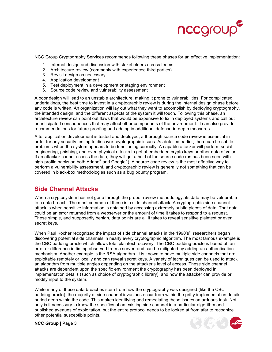

NCC Group Cryptography Services recommends following these phases for an effective implementation:

- 1. Internal design and discussion with stakeholders across teams
- 2. Architecture review (commonly with experienced third parties)
- 3. Revisit design as necessary
- 4. Application development
- 5. Test deployment in a development or staging environment
- 6. Source code review and vulnerability assessment

A poor design will lead to an unstable architecture, making it prone to vulnerabilities. For complicated undertakings, the best time to invest in a cryptographic review is during the internal design phase before any code is written. An organization will lay out what they want to accomplish by deploying cryptography, the intended design, and the different aspects of the system it will touch. Following this phase, an architecture review can point out flaws that would be expensive to fix in deployed systems and call out unanticipated consequences that may affect other components of the environment. It can also provide recommendations for future-proofing and adding in additional defense-in-depth measures.

After application development is tested and deployed, a thorough source code review is essential in order for any security testing to discover cryptographic issues. As detailed earlier, there can be subtle problems when the system appears to be functioning correctly. A capable attacker will perform social engineering, phishing, and even physical attacks to get at embedded crypto keys or other data of value. If an attacker cannot access the data, they will get a hold of the source code (as has been seen with high-profile hacks on both Adobe<sup>iii</sup> and Google<sup>iv</sup>). A source code review is the most effective way to perform a vulnerability assessment, and cryptographic review is generally not something that can be covered in black-box methodologies such as a bug bounty program.

### **Side Channel Attacks**

When a cryptosystem has not gone through the proper review methodology, its data may be vulnerable to a data breach. The most common of these is a side channel attack. A cryptographic side channel attack is when sensitive information is obtained by accessing extremely subtle pieces of data. That data could be an error returned from a webserver or the amount of time it takes to respond to a request. These simple, and supposedly benign, data points are all it takes to reveal sensitive plaintext or even secret keys.

When Paul Kocher recognized the impact of side channel attacks in the 1990's<sup>v</sup>, researchers began discovering potential side channels in nearly every cryptographic algorithm. The most famous example is the CBC padding oracle which allows total plaintext recovery. The CBC padding oracle is based off an error or difference in timing observed from a server, and can be mitigated by adding an authentication mechanism. Another example is the RSA algorithm. It is known to have multiple side channels that are exploitable remotely or locally and can reveal secret keys. A variety of techniques can be used to attack an algorithm from multiple angles depending on the attacker's level of access. These side channel attacks are dependent upon the specific environment the cryptography has been deployed in, implementation details (such as choice of cryptographic library), and how the attacker can provide or modify input to the system.

While many of these data breaches stem from how the cryptography was designed (like the CBC padding oracle), the majority of side channel invasions occur from within the gritty implementation details, buried deep within the code. This makes identifying and remediating these issues an arduous task. Not only is it necessary to know the specifics of an existing side channel in a particular algorithm and published avenues of exploitation, but the entire protocol needs to be looked at from afar to recognize other potential susceptible points.

**NCC Group | Page 3**

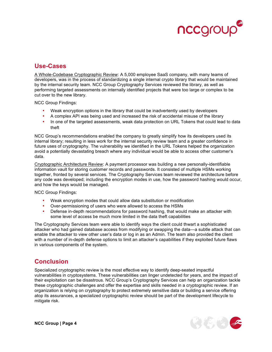

#### **Use-Cases**

A Whole-Codebase Cryptographic Review: A 5,000 employee SaaS company, with many teams of developers, was in the process of standardizing a single internal crypto library that would be maintained by the internal security team. NCC Group Cryptography Services reviewed the library, as well as performing targeted assessments on internally identified projects that were too large or complex to be cut over to the new library.

NCC Group Findings:

- Weak encryption options in the library that could be inadvertently used by developers
- A complex API was being used and increased the risk of accidental misuse of the library
- In one of the targeted assessments, weak data protection on URL Tokens that could lead to data theft

NCC Group's recommendations enabled the company to greatly simplify how its developers used its internal library; resulting in less work for the internal security review team and a greater confidence in future uses of cryptography. The vulnerability we identified in the URL Tokens helped the organization avoid a potentially devastating breach where any individual would be able to access other customer's data.

Cryptographic Architecture Review: A payment processor was building a new personally-identifiable information vault for storing customer records and passwords. It consisted of multiple HSMs working together, fronted by several services. The Cryptography Services team reviewed the architecture before any code was developed; including the encryption modes in use, how the password hashing would occur, and how the keys would be managed.

NCC Group Findings:

- Weak encryption modes that could allow data substitution or modification
- Over-permissioning of users who were allowed to access the HSMs
- Defense in-depth recommendations for password hashing, that would make an attacker with some level of access be much more limited in the data theft capabilities

The Cryptography Services team were able to identify ways the client could thwart a sophisticated attacker who had gained database access from modifying or swapping the data—a subtle attack that can enable the attacker to view other user's data or log in as an Admin. The team also provided the client with a number of in-depth defense options to limit an attacker's capabilities if they exploited future flaws in various components of the system.

#### **Conclusion**

Specialized cryptographic review is the most effective way to identify deep-seated impactful vulnerabilities in cryptosystems. These vulnerabilities can linger undetected for years, and the impact of their exploitation can be disastrous. NCC Group's Cryptography Services can help an organization tackle these cryptographic challenges and offer the expertise and skills needed in a cryptographic review. If an organization is relying on cryptography to protect extremely sensitive data or building a service offering atop its assurances, a specialized cryptographic review should be part of the development lifecycle to mitigate risk.